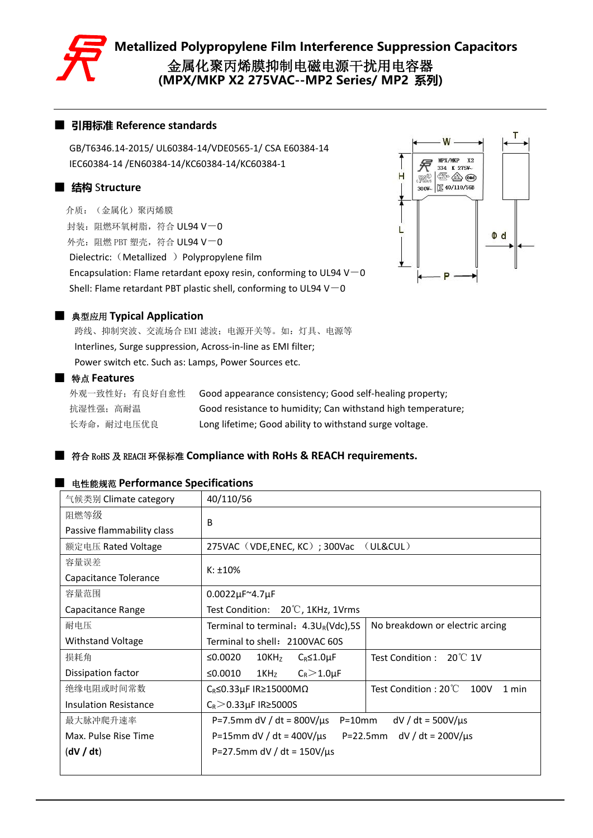

### ■ **引用标准 Reference standards**

GB/T6346.14-2015/ UL60384-14/VDE0565-1/ CSA E60384-14 IEC60384-14 /EN60384-14/KC60384-14/KC60384-1

### ■ **结构** S**tructure**

介质:(金属化)聚丙烯膜 封装: 阳燃环氧树脂, 符合 UL94 V-0 外壳: 阻燃 PBT 塑壳, 符合 UL94 V-0 Dielectric: (Metallized ) Polypropylene film Encapsulation: Flame retardant epoxy resin, conforming to UL94 V $-$ 0 Shell: Flame retardant PBT plastic shell, conforming to UL94 V $-0$ 



#### ■ 典型应用 **Typical Application**

跨线、抑制突波、交流场合 EMI 滤波;电源开关等。如:灯具、电源等 Interlines, Surge suppression, Across-in-line as EMI filter; Power switch etc. Such as: Lamps, Power Sources etc.

#### ■ 特点 **Features**

外观一致性好;有良好自愈性 Good appearance consistency; Good self-healing property; 抗湿性强;高耐温 Good resistance to humidity; Can withstand high temperature; 长寿命, 耐过电压优良 Long lifetime; Good ability to withstand surge voltage.

### ■ 符合 RoHS <sup>及</sup> REACH 环保标准 **Compliance with RoHs & REACH requirements.**

#### ■ 电性能规范 **Performance Specifications**

| 气候类别 Climate category        | 40/110/56                                              |                                       |  |  |  |  |  |  |
|------------------------------|--------------------------------------------------------|---------------------------------------|--|--|--|--|--|--|
| 阻燃等级                         | B                                                      |                                       |  |  |  |  |  |  |
| Passive flammability class   |                                                        |                                       |  |  |  |  |  |  |
| 额定电压 Rated Voltage           | 275VAC (VDE,ENEC, KC); 300Vac                          | (ULRCUL)                              |  |  |  |  |  |  |
| 容量误差                         |                                                        |                                       |  |  |  |  |  |  |
| Capacitance Tolerance        | $K: \pm 10\%$                                          |                                       |  |  |  |  |  |  |
| 容量范围                         | 0.0022µF~4.7µF                                         |                                       |  |  |  |  |  |  |
| Capacitance Range            | $20^{\circ}$ C, 1KHz, 1Vrms<br>Test Condition:         |                                       |  |  |  |  |  |  |
| 耐电压                          | Terminal to terminal: 4.3UR(Vdc),5S                    | No breakdown or electric arcing       |  |  |  |  |  |  |
| <b>Withstand Voltage</b>     | Terminal to shell: 2100VAC 60S                         |                                       |  |  |  |  |  |  |
| 损耗角                          | ≤0.0020<br>10KH <sub>Z</sub><br>$C_R \leq 1.0 \mu F$   | 20°C 1V<br>Test Condition:            |  |  |  |  |  |  |
| Dissipation factor           | ≤ $0.0010$<br>$C_R > 1.0 \mu F$<br>$1$ KH <sub>z</sub> |                                       |  |  |  |  |  |  |
| 绝缘电阻或时间常数                    | $C_R \le 0.33 \mu$ F IR ≥15000M $\Omega$               | Test Condition: 20°C<br>100V<br>1 min |  |  |  |  |  |  |
| <b>Insulation Resistance</b> | $C_R$ > 0.33 $\mu$ F IR ≥ 5000S                        |                                       |  |  |  |  |  |  |
| 最大脉冲爬升速率                     | P=7.5mm dV / dt = $800V/\mu s$ P=10mm                  | $dV/dt = 500V/\mu s$                  |  |  |  |  |  |  |
| Max. Pulse Rise Time         | P=15mm dV / dt = 400V/ $\mu$ s                         | $dV/dt = 200V/\mu s$<br>$P = 22.5$ mm |  |  |  |  |  |  |
| (dV / dt)                    | P=27.5mm dV / dt = $150V/\mu s$                        |                                       |  |  |  |  |  |  |
|                              |                                                        |                                       |  |  |  |  |  |  |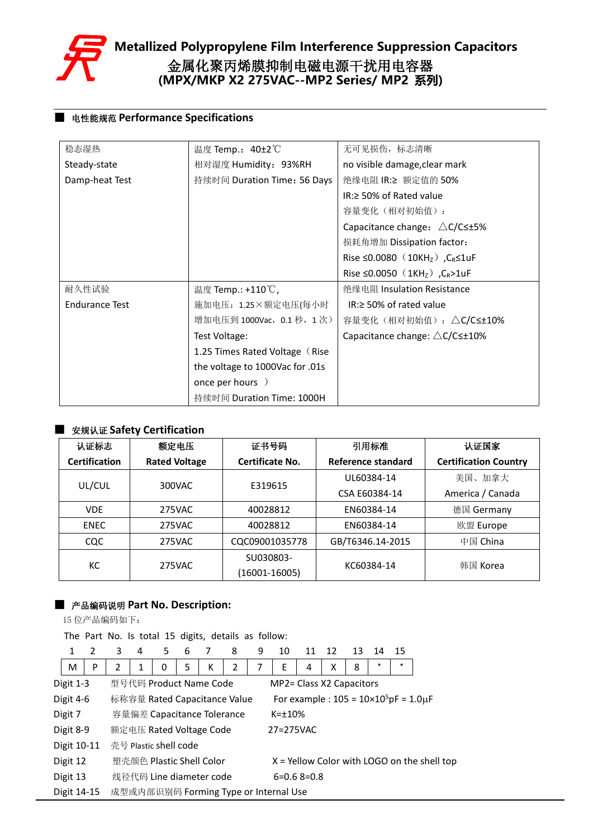

### ■ 电性能规范 **Performance Specifications**

| 稳态湿热                  | 温度 Temp.: 40±2℃                 | 无可见损伤,标志清晰                                                         |
|-----------------------|---------------------------------|--------------------------------------------------------------------|
| Steady-state          | 相对湿度 Humidity: 93%RH            | no visible damage, clear mark                                      |
| Damp-heat Test        | 持续时间 Duration Time: 56 Days     | 绝缘电阻 IR:≥ 额定值的 50%                                                 |
|                       |                                 | IR:≥ 50% of Rated value                                            |
|                       |                                 | 容量变化(相对初始值):                                                       |
|                       |                                 | Capacitance change: $\triangle C/C \leq \pm 5\%$                   |
|                       |                                 | 损耗角增加 Dissipation factor:                                          |
|                       |                                 | Rise $\leq$ 0.0080 (10KH <sub>z</sub> ), C <sub>R</sub> $\leq$ 1uF |
|                       |                                 | Rise ≤0.0050 (1KHz), C <sub>R</sub> >1uF                           |
| 耐久性试验                 | 温度 Temp.: +110℃,                | 绝缘电阻 Insulation Resistance                                         |
| <b>Endurance Test</b> | 施加电压: 1.25×额定电压(每小时             | $IR \geq 50\%$ of rated value                                      |
|                       | 增加电压到 1000Vac, 0.1 秒, 1 次)      | 容量变化(相对初始值): △C/C≤±10%                                             |
|                       | Test Voltage:                   | Capacitance change: $\triangle$ C/C $\leq$ +10%                    |
|                       | 1.25 Times Rated Voltage (Rise) |                                                                    |
|                       | the voltage to 1000Vac for .01s |                                                                    |
|                       | once per hours )                |                                                                    |
|                       | 持续时间 Duration Time: 1000H       |                                                                    |

### ■ 安规认证 **Safety Certification**

| 认证标志                 | 额定电压                 | 证书号码            | 引用标准               | 认证国家                         |
|----------------------|----------------------|-----------------|--------------------|------------------------------|
| <b>Certification</b> | <b>Rated Voltage</b> | Certificate No. | Reference standard | <b>Certification Country</b> |
| UL/CUL               | 300VAC               | E319615         | UL60384-14         | 美国、加拿大                       |
|                      |                      |                 | CSA E60384-14      | America / Canada             |
| VDE.                 | 275VAC               | 40028812        | EN60384-14         | 德国 Germany                   |
| <b>ENEC</b>          | 275VAC               | 40028812        | EN60384-14         | 欧盟 Europe                    |
| CQC                  | 275VAC               | CQC09001035778  | GB/T6346.14-2015   | 中国 China                     |
| KC                   | 275VAC               | SU030803-       | KC60384-14         | 韩国 Korea                     |
|                      |                      | (16001-16005)   |                    |                              |

### ■ 产品编码说明 **Part No. Description:**

15 位产品编码如下:

The Part No. Is total 15 digits, details as follow:

| 1           | $\mathcal{P}$ | 3 | 4 | 5.                       | 6 |   | 8                                     | 9 | 10                       | 11                                                    | 12 | 13 | 14     | 15     |                                               |
|-------------|---------------|---|---|--------------------------|---|---|---------------------------------------|---|--------------------------|-------------------------------------------------------|----|----|--------|--------|-----------------------------------------------|
| M           | P             |   |   | 0                        |   | K |                                       |   | E                        | 4                                                     | Χ  | 8  | $\ast$ | $\ast$ |                                               |
| Digit 1-3   |               |   |   | 型号代码 Product Name Code   |   |   |                                       |   | MP2= Class X2 Capacitors |                                                       |    |    |        |        |                                               |
| Digit 4-6   |               |   |   |                          |   |   | 标称容量 Rated Capacitance Value          |   |                          | For example : $105 = 10 \times 10^5$ pF = $1.0 \mu$ F |    |    |        |        |                                               |
| Digit 7     |               |   |   |                          |   |   | 容量偏差 Capacitance Tolerance            |   | $K = \pm 10\%$           |                                                       |    |    |        |        |                                               |
| Digit 8-9   |               |   |   | 额定电压 Rated Voltage Code  |   |   |                                       |   | 27=275VAC                |                                                       |    |    |        |        |                                               |
| Digit 10-11 |               |   |   | 亮号 Plastic shell code    |   |   |                                       |   |                          |                                                       |    |    |        |        |                                               |
| Digit 12    |               |   |   | 塑壳颜色 Plastic Shell Color |   |   |                                       |   |                          |                                                       |    |    |        |        | $X =$ Yellow Color with LOGO on the shell top |
| Digit 13    |               |   |   | 线径代码 Line diameter code  |   |   |                                       |   |                          | $6=0.68=0.8$                                          |    |    |        |        |                                               |
| Digit 14-15 |               |   |   |                          |   |   | 成型或内部识别码 Forming Type or Internal Use |   |                          |                                                       |    |    |        |        |                                               |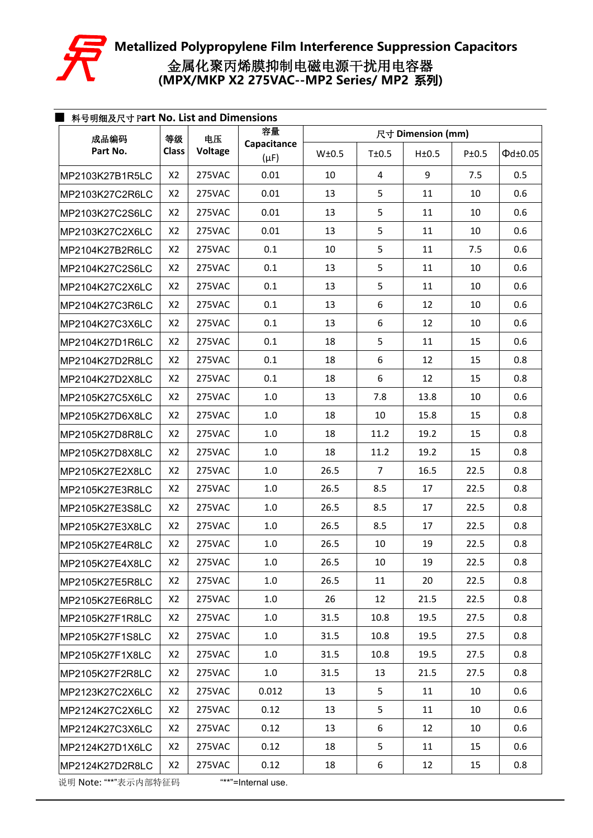

| 成品编码            | 等级             | 电压      | 容量                       | 尺寸 Dimension (mm) |                |       |       |                     |  |  |
|-----------------|----------------|---------|--------------------------|-------------------|----------------|-------|-------|---------------------|--|--|
| Part No.        | <b>Class</b>   | Voltage | Capacitance<br>$(\mu F)$ | W±0.5             | T±0.5          | H±0.5 | P±0.5 | $\Phi$ d $\pm$ 0.05 |  |  |
| MP2103K27B1R5LC | X <sub>2</sub> | 275VAC  | 0.01                     | 10                | 4              | 9     | 7.5   | 0.5                 |  |  |
| MP2103K27C2R6LC | X2             | 275VAC  | 0.01                     | 13                | 5              | 11    | 10    | 0.6                 |  |  |
| MP2103K27C2S6LC | X <sub>2</sub> | 275VAC  | 0.01                     | 13                | 5              | 11    | 10    | 0.6                 |  |  |
| MP2103K27C2X6LC | X <sub>2</sub> | 275VAC  | 0.01                     | 13                | 5              | 11    | 10    | 0.6                 |  |  |
| MP2104K27B2R6LC | X2             | 275VAC  | 0.1                      | 10                | 5              | 11    | 7.5   | 0.6                 |  |  |
| MP2104K27C2S6LC | X2             | 275VAC  | 0.1                      | 13                | 5              | 11    | 10    | 0.6                 |  |  |
| MP2104K27C2X6LC | X2             | 275VAC  | 0.1                      | 13                | 5              | 11    | 10    | 0.6                 |  |  |
| MP2104K27C3R6LC | X2             | 275VAC  | 0.1                      | 13                | 6              | 12    | 10    | 0.6                 |  |  |
| MP2104K27C3X6LC | X2             | 275VAC  | 0.1                      | 13                | 6              | 12    | 10    | 0.6                 |  |  |
| MP2104K27D1R6LC | X2             | 275VAC  | 0.1                      | 18                | 5              | 11    | 15    | 0.6                 |  |  |
| MP2104K27D2R8LC | X2             | 275VAC  | 0.1                      | 18                | 6              | 12    | 15    | 0.8                 |  |  |
| MP2104K27D2X8LC | X2             | 275VAC  | 0.1                      | 18                | 6              | 12    | 15    | 0.8                 |  |  |
| MP2105K27C5X6LC | X2             | 275VAC  | $1.0\,$                  | 13                | 7.8            | 13.8  | 10    | 0.6                 |  |  |
| MP2105K27D6X8LC | X <sub>2</sub> | 275VAC  | $1.0\,$                  | 18                | 10             | 15.8  | 15    | 0.8                 |  |  |
| MP2105K27D8R8LC | X <sub>2</sub> | 275VAC  | 1.0                      | 18                | 11.2           | 19.2  | 15    | 0.8                 |  |  |
| MP2105K27D8X8LC | X2             | 275VAC  | 1.0                      | 18                | 11.2           | 19.2  | 15    | 0.8                 |  |  |
| MP2105K27E2X8LC | X2             | 275VAC  | 1.0                      | 26.5              | $\overline{7}$ | 16.5  | 22.5  | 0.8                 |  |  |
| MP2105K27E3R8LC | X2             | 275VAC  | 1.0                      | 26.5              | 8.5            | 17    | 22.5  | 0.8                 |  |  |
| MP2105K27E3S8LC | X2             | 275VAC  | 1.0                      | 26.5              | 8.5            | 17    | 22.5  | 0.8                 |  |  |
| MP2105K27E3X8LC | X2             | 275VAC  | 1.0                      | 26.5              | 8.5            | 17    | 22.5  | 0.8                 |  |  |
| MP2105K27E4R8LC | X <sub>2</sub> | 275VAC  | $1.0\,$                  | 26.5              | 10             | 19    | 22.5  | 0.8                 |  |  |
| MP2105K27E4X8LC | X2             | 275VAC  | $1.0\,$                  | 26.5              | 10             | 19    | 22.5  | 0.8                 |  |  |
| MP2105K27E5R8LC | X2             | 275VAC  | $1.0\,$                  | 26.5              | 11             | 20    | 22.5  | 0.8                 |  |  |
| MP2105K27E6R8LC | X2             | 275VAC  | $1.0\,$                  | 26                | 12             | 21.5  | 22.5  | 0.8                 |  |  |
| MP2105K27F1R8LC | X2             | 275VAC  | 1.0                      | 31.5              | 10.8           | 19.5  | 27.5  | 0.8                 |  |  |
| MP2105K27F1S8LC | X2             | 275VAC  | 1.0                      | 31.5              | 10.8           | 19.5  | 27.5  | 0.8                 |  |  |
| MP2105K27F1X8LC | X2             | 275VAC  | 1.0                      | 31.5              | 10.8           | 19.5  | 27.5  | 0.8                 |  |  |
| MP2105K27F2R8LC | X2             | 275VAC  | 1.0                      | 31.5              | 13             | 21.5  | 27.5  | 0.8                 |  |  |
| MP2123K27C2X6LC | X2             | 275VAC  | 0.012                    | 13                | 5              | 11    | 10    | 0.6                 |  |  |
| MP2124K27C2X6LC | X2             | 275VAC  | 0.12                     | 13                | 5              | 11    | 10    | 0.6                 |  |  |
| MP2124K27C3X6LC | X2             | 275VAC  | 0.12                     | 13                | 6              | 12    | 10    | 0.6                 |  |  |
| MP2124K27D1X6LC | X2             | 275VAC  | 0.12                     | 18                | 5              | 11    | 15    | 0.6                 |  |  |
| MP2124K27D2R8LC | X2             | 275VAC  | 0.12                     | 18                | 6              | 12    | 15    | 0.8                 |  |  |

说明 Note: "\*\*"表示内部特征码 "\*\*"=Internal use.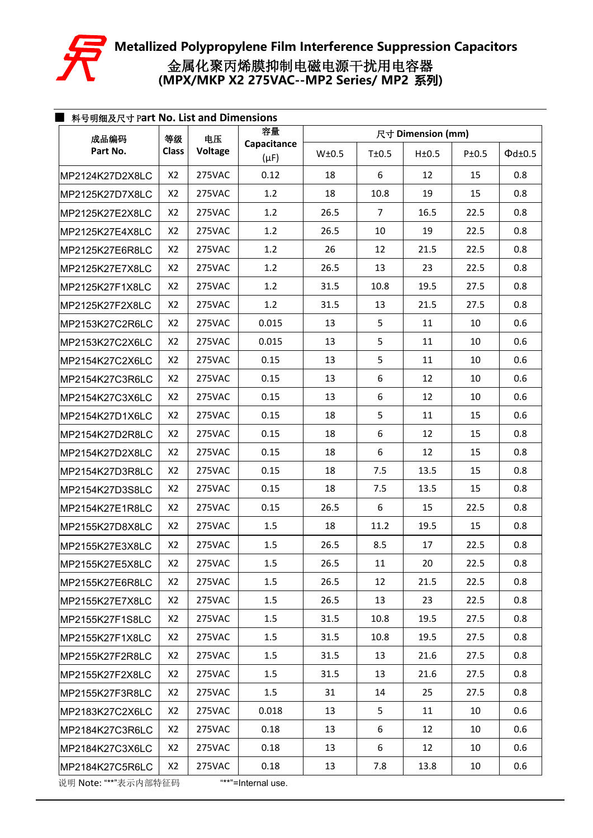

| 成品编码                 | 等级             | 电压      | 容量                       | 尺寸 Dimension (mm) |                |       |       |                    |  |  |
|----------------------|----------------|---------|--------------------------|-------------------|----------------|-------|-------|--------------------|--|--|
| Part No.             | <b>Class</b>   | Voltage | Capacitance<br>$(\mu F)$ | W±0.5             | T±0.5          | H±0.5 | P±0.5 | $\Phi$ d $\pm$ 0.5 |  |  |
| MP2124K27D2X8LC      | X2             | 275VAC  | 0.12                     | 18                | 6              | 12    | 15    | 0.8                |  |  |
| MP2125K27D7X8LC      | X2             | 275VAC  | 1.2                      | 18                | 10.8           | 19    | 15    | 0.8                |  |  |
| MP2125K27E2X8LC      | X2             | 275VAC  | 1.2                      | 26.5              | $\overline{7}$ | 16.5  | 22.5  | 0.8                |  |  |
| MP2125K27E4X8LC      | X2             | 275VAC  | 1.2                      | 26.5              | 10             | 19    | 22.5  | 0.8                |  |  |
| MP2125K27E6R8LC      | X <sub>2</sub> | 275VAC  | 1.2                      | 26                | 12             | 21.5  | 22.5  | 0.8                |  |  |
| MP2125K27E7X8LC      | X <sub>2</sub> | 275VAC  | 1.2                      | 26.5              | 13             | 23    | 22.5  | 0.8                |  |  |
| MP2125K27F1X8LC      | X <sub>2</sub> | 275VAC  | 1.2                      | 31.5              | 10.8           | 19.5  | 27.5  | 0.8                |  |  |
| MP2125K27F2X8LC      | X <sub>2</sub> | 275VAC  | 1.2                      | 31.5              | 13             | 21.5  | 27.5  | 0.8                |  |  |
| MP2153K27C2R6LC      | X2             | 275VAC  | 0.015                    | 13                | 5              | 11    | 10    | 0.6                |  |  |
| MP2153K27C2X6LC      | X <sub>2</sub> | 275VAC  | 0.015                    | 13                | 5              | 11    | 10    | 0.6                |  |  |
| MP2154K27C2X6LC      | X2             | 275VAC  | 0.15                     | 13                | 5              | 11    | 10    | 0.6                |  |  |
| MP2154K27C3R6LC      | X2             | 275VAC  | 0.15                     | 13                | 6              | 12    | 10    | 0.6                |  |  |
| MP2154K27C3X6LC      | X2             | 275VAC  | 0.15                     | 13                | 6              | 12    | 10    | 0.6                |  |  |
| MP2154K27D1X6LC      | X2             | 275VAC  | 0.15                     | 18                | 5              | 11    | 15    | 0.6                |  |  |
| MP2154K27D2R8LC      | X <sub>2</sub> | 275VAC  | 0.15                     | 18                | 6              | 12    | 15    | 0.8                |  |  |
| MP2154K27D2X8LC      | X <sub>2</sub> | 275VAC  | 0.15                     | 18                | 6              | 12    | 15    | 0.8                |  |  |
| MP2154K27D3R8LC      | X <sub>2</sub> | 275VAC  | 0.15                     | 18                | 7.5            | 13.5  | 15    | 0.8                |  |  |
| MP2154K27D3S8LC      | X2             | 275VAC  | 0.15                     | 18                | 7.5            | 13.5  | 15    | 0.8                |  |  |
| MP2154K27E1R8LC      | X2             | 275VAC  | 0.15                     | 26.5              | 6              | 15    | 22.5  | 0.8                |  |  |
| MP2155K27D8X8LC      | X <sub>2</sub> | 275VAC  | 1.5                      | 18                | 11.2           | 19.5  | 15    | 0.8                |  |  |
| MP2155K27E3X8LC      | X2             | 275VAC  | 1.5                      | 26.5              | 8.5            | 17    | 22.5  | 0.8                |  |  |
| MP2155K27E5X8LC      | X2             | 275VAC  | 1.5                      | 26.5              | 11             | 20    | 22.5  | 0.8                |  |  |
| MP2155K27E6R8LC      | X2             | 275VAC  | 1.5                      | 26.5              | 12             | 21.5  | 22.5  | 0.8                |  |  |
| MP2155K27E7X8LC      | X2             | 275VAC  | 1.5                      | 26.5              | 13             | 23    | 22.5  | 0.8                |  |  |
| MP2155K27F1S8LC      | X2             | 275VAC  | 1.5                      | 31.5              | 10.8           | 19.5  | 27.5  | 0.8                |  |  |
| MP2155K27F1X8LC      | X2             | 275VAC  | 1.5                      | 31.5              | 10.8           | 19.5  | 27.5  | 0.8                |  |  |
| MP2155K27F2R8LC      | X2             | 275VAC  | 1.5                      | 31.5              | 13             | 21.6  | 27.5  | 0.8                |  |  |
| MP2155K27F2X8LC      | X2             | 275VAC  | 1.5                      | 31.5              | 13             | 21.6  | 27.5  | 0.8                |  |  |
| MP2155K27F3R8LC      | X2             | 275VAC  | 1.5                      | 31                | 14             | 25    | 27.5  | 0.8                |  |  |
| MP2183K27C2X6LC      | X2             | 275VAC  | 0.018                    | 13                | 5              | 11    | 10    | 0.6                |  |  |
| MP2184K27C3R6LC      | X2             | 275VAC  | 0.18                     | 13                | 6              | 12    | 10    | 0.6                |  |  |
| MP2184K27C3X6LC      | X <sub>2</sub> | 275VAC  | 0.18                     | 13                | 6              | 12    | 10    | 0.6                |  |  |
| MP2184K27C5R6LC      | X <sub>2</sub> | 275VAC  | 0.18                     | 13                | 7.8            | 13.8  | 10    | 0.6                |  |  |
| 说明 Note: "**"表示内部特征码 |                |         | "**"=Internal use.       |                   |                |       |       |                    |  |  |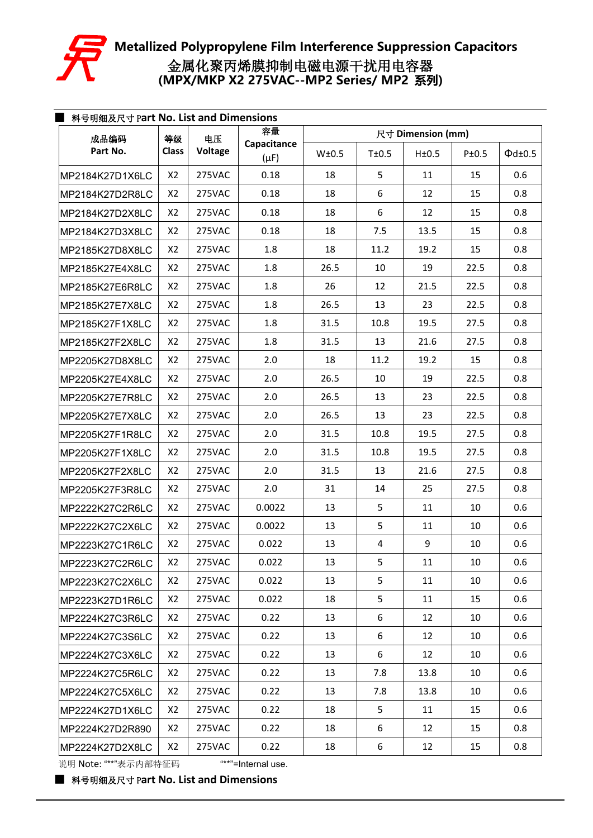

| 成品编码            | 等级             | 电压      | 容量                       |       | 尺寸 Dimension (mm) |       |       |                    |  |  |  |
|-----------------|----------------|---------|--------------------------|-------|-------------------|-------|-------|--------------------|--|--|--|
| Part No.        | <b>Class</b>   | Voltage | Capacitance<br>$(\mu F)$ | W±0.5 | T±0.5             | H±0.5 | P±0.5 | $\Phi$ d $\pm$ 0.5 |  |  |  |
| MP2184K27D1X6LC | X2             | 275VAC  | 0.18                     | 18    | 5                 | 11    | 15    | 0.6                |  |  |  |
| MP2184K27D2R8LC | X2             | 275VAC  | 0.18                     | 18    | 6                 | 12    | 15    | 0.8                |  |  |  |
| MP2184K27D2X8LC | X2             | 275VAC  | 0.18                     | 18    | 6                 | 12    | 15    | 0.8                |  |  |  |
| MP2184K27D3X8LC | X2             | 275VAC  | 0.18                     | 18    | 7.5               | 13.5  | 15    | 0.8                |  |  |  |
| MP2185K27D8X8LC | X2             | 275VAC  | 1.8                      | 18    | 11.2              | 19.2  | 15    | 0.8                |  |  |  |
| MP2185K27E4X8LC | X <sub>2</sub> | 275VAC  | 1.8                      | 26.5  | 10                | 19    | 22.5  | 0.8                |  |  |  |
| MP2185K27E6R8LC | X2             | 275VAC  | 1.8                      | 26    | 12                | 21.5  | 22.5  | 0.8                |  |  |  |
| MP2185K27E7X8LC | X2             | 275VAC  | 1.8                      | 26.5  | 13                | 23    | 22.5  | 0.8                |  |  |  |
| MP2185K27F1X8LC | X2             | 275VAC  | 1.8                      | 31.5  | 10.8              | 19.5  | 27.5  | 0.8                |  |  |  |
| MP2185K27F2X8LC | X2             | 275VAC  | 1.8                      | 31.5  | 13                | 21.6  | 27.5  | 0.8                |  |  |  |
| MP2205K27D8X8LC | X2             | 275VAC  | 2.0                      | 18    | 11.2              | 19.2  | 15    | 0.8                |  |  |  |
| MP2205K27E4X8LC | X2             | 275VAC  | 2.0                      | 26.5  | 10                | 19    | 22.5  | 0.8                |  |  |  |
| MP2205K27E7R8LC | X2             | 275VAC  | 2.0                      | 26.5  | 13                | 23    | 22.5  | 0.8                |  |  |  |
| MP2205K27E7X8LC | X2             | 275VAC  | 2.0                      | 26.5  | 13                | 23    | 22.5  | 0.8                |  |  |  |
| MP2205K27F1R8LC | X <sub>2</sub> | 275VAC  | 2.0                      | 31.5  | 10.8              | 19.5  | 27.5  | 0.8                |  |  |  |
| MP2205K27F1X8LC | X2             | 275VAC  | 2.0                      | 31.5  | 10.8              | 19.5  | 27.5  | 0.8                |  |  |  |
| MP2205K27F2X8LC | X2             | 275VAC  | 2.0                      | 31.5  | 13                | 21.6  | 27.5  | 0.8                |  |  |  |
| MP2205K27F3R8LC | X <sub>2</sub> | 275VAC  | 2.0                      | 31    | 14                | 25    | 27.5  | 0.8                |  |  |  |
| MP2222K27C2R6LC | X <sub>2</sub> | 275VAC  | 0.0022                   | 13    | 5                 | 11    | 10    | 0.6                |  |  |  |
| MP2222K27C2X6LC | X2             | 275VAC  | 0.0022                   | 13    | 5                 | 11    | 10    | 0.6                |  |  |  |
| MP2223K27C1R6LC | X <sub>2</sub> | 275VAC  | 0.022                    | 13    | 4                 | 9     | 10    | 0.6                |  |  |  |
| MP2223K27C2R6LC | X2             | 275VAC  | 0.022                    | 13    | 5                 | 11    | 10    | 0.6                |  |  |  |
| MP2223K27C2X6LC | X2             | 275VAC  | 0.022                    | 13    | 5                 | 11    | 10    | 0.6                |  |  |  |
| MP2223K27D1R6LC | X2             | 275VAC  | 0.022                    | 18    | 5                 | 11    | 15    | 0.6                |  |  |  |
| MP2224K27C3R6LC | X2             | 275VAC  | 0.22                     | 13    | 6                 | 12    | 10    | 0.6                |  |  |  |
| MP2224K27C3S6LC | X2             | 275VAC  | 0.22                     | 13    | 6                 | 12    | 10    | 0.6                |  |  |  |
| MP2224K27C3X6LC | X2             | 275VAC  | 0.22                     | 13    | 6                 | 12    | 10    | 0.6                |  |  |  |
| MP2224K27C5R6LC | X2             | 275VAC  | 0.22                     | 13    | 7.8               | 13.8  | 10    | 0.6                |  |  |  |
| MP2224K27C5X6LC | X2             | 275VAC  | 0.22                     | 13    | 7.8               | 13.8  | 10    | 0.6                |  |  |  |
| MP2224K27D1X6LC | X2             | 275VAC  | 0.22                     | 18    | 5                 | 11    | 15    | 0.6                |  |  |  |
| MP2224K27D2R890 | X2             | 275VAC  | 0.22                     | 18    | 6                 | 12    | 15    | 0.8                |  |  |  |
| MP2224K27D2X8LC | X2             | 275VAC  | 0.22                     | 18    | 6                 | 12    | 15    | 0.8                |  |  |  |
|                 |                |         |                          |       |                   |       |       |                    |  |  |  |

说明 Note: "\*\*"表示内部特征码 "\*\*"=Internal use.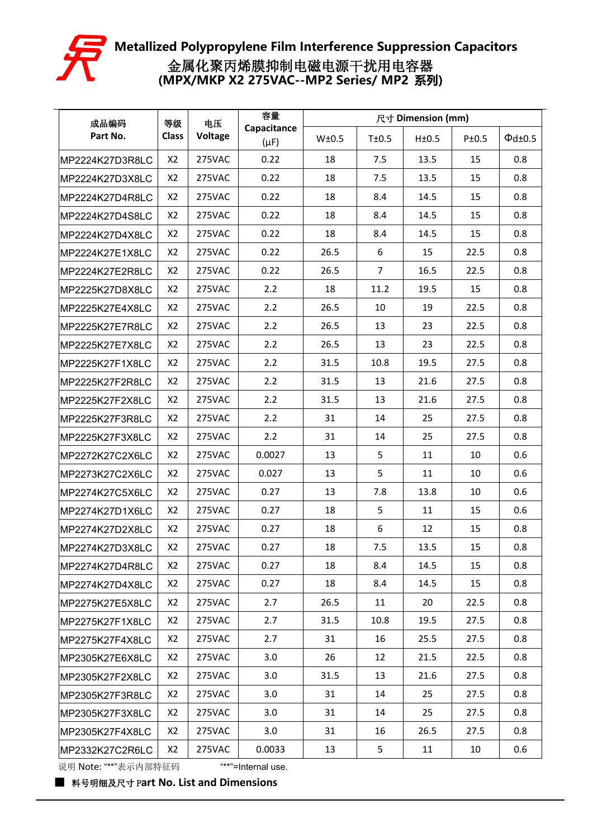

| 成品编码            | 等级             | 电压      | 容量                       |       |                | 尺寸 Dimension (mm) |       |                    |
|-----------------|----------------|---------|--------------------------|-------|----------------|-------------------|-------|--------------------|
| Part No.        | <b>Class</b>   | Voltage | Capacitance<br>$(\mu F)$ | W±0.5 | T±0.5          | H±0.5             | P±0.5 | $\Phi$ d $\pm$ 0.5 |
| MP2224K27D3R8LC | X <sub>2</sub> | 275VAC  | 0.22                     | 18    | 7.5            | 13.5              | 15    | 0.8                |
| MP2224K27D3X8LC | X2             | 275VAC  | 0.22                     | 18    | 7.5            | 13.5              | 15    | 0.8                |
| MP2224K27D4R8LC | X <sub>2</sub> | 275VAC  | 0.22                     | 18    | 8.4            | 14.5              | 15    | 0.8                |
| MP2224K27D4S8LC | X <sub>2</sub> | 275VAC  | 0.22                     | 18    | 8.4            | 14.5              | 15    | 0.8                |
| MP2224K27D4X8LC | X <sub>2</sub> | 275VAC  | 0.22                     | 18    | 8.4            | 14.5              | 15    | 0.8                |
| MP2224K27E1X8LC | X <sub>2</sub> | 275VAC  | 0.22                     | 26.5  | 6              | 15                | 22.5  | 0.8                |
| MP2224K27E2R8LC | X <sub>2</sub> | 275VAC  | 0.22                     | 26.5  | $\overline{7}$ | 16.5              | 22.5  | 0.8                |
| MP2225K27D8X8LC | X <sub>2</sub> | 275VAC  | 2.2                      | 18    | 11.2           | 19.5              | 15    | 0.8                |
| MP2225K27E4X8LC | X <sub>2</sub> | 275VAC  | 2.2                      | 26.5  | 10             | 19                | 22.5  | 0.8                |
| MP2225K27E7R8LC | X <sub>2</sub> | 275VAC  | 2.2                      | 26.5  | 13             | 23                | 22.5  | 0.8                |
| MP2225K27E7X8LC | X <sub>2</sub> | 275VAC  | 2.2                      | 26.5  | 13             | 23                | 22.5  | 0.8                |
| MP2225K27F1X8LC | X <sub>2</sub> | 275VAC  | 2.2                      | 31.5  | 10.8           | 19.5              | 27.5  | 0.8                |
| MP2225K27F2R8LC | X <sub>2</sub> | 275VAC  | 2.2                      | 31.5  | 13             | 21.6              | 27.5  | 0.8                |
| MP2225K27F2X8LC | X <sub>2</sub> | 275VAC  | 2.2                      | 31.5  | 13             | 21.6              | 27.5  | 0.8                |
| MP2225K27F3R8LC | X2             | 275VAC  | 2.2                      | 31    | 14             | 25                | 27.5  | 0.8                |
| MP2225K27F3X8LC | X <sub>2</sub> | 275VAC  | 2.2                      | 31    | 14             | 25                | 27.5  | 0.8                |
| MP2272K27C2X6LC | X <sub>2</sub> | 275VAC  | 0.0027                   | 13    | 5              | 11                | 10    | 0.6                |
| MP2273K27C2X6LC | X <sub>2</sub> | 275VAC  | 0.027                    | 13    | 5              | 11                | 10    | 0.6                |
| MP2274K27C5X6LC | X <sub>2</sub> | 275VAC  | 0.27                     | 13    | 7.8            | 13.8              | 10    | 0.6                |
| MP2274K27D1X6LC | X <sub>2</sub> | 275VAC  | 0.27                     | 18    | 5              | 11                | 15    | 0.6                |
| MP2274K27D2X8LC | X2             | 275VAC  | 0.27                     | 18    | 6              | 12                | 15    | 0.8                |
| MP2274K27D3X8LC | X <sub>2</sub> | 275VAC  | 0.27                     | 18    | 7.5            | 13.5              | 15    | 0.8                |
| MP2274K27D4R8LC | X2             | 275VAC  | 0.27                     | 18    | 8.4            | 14.5              | 15    | 0.8                |
| MP2274K27D4X8LC | X <sub>2</sub> | 275VAC  | 0.27                     | 18    | 8.4            | 14.5              | 15    | 0.8                |
| MP2275K27E5X8LC | X2             | 275VAC  | 2.7                      | 26.5  | 11             | 20                | 22.5  | 0.8                |
| MP2275K27F1X8LC | X <sub>2</sub> | 275VAC  | 2.7                      | 31.5  | 10.8           | 19.5              | 27.5  | 0.8                |
| MP2275K27F4X8LC | X <sub>2</sub> | 275VAC  | 2.7                      | 31    | 16             | 25.5              | 27.5  | 0.8                |
| MP2305K27E6X8LC | X <sub>2</sub> | 275VAC  | 3.0                      | 26    | 12             | 21.5              | 22.5  | 0.8                |
| MP2305K27F2X8LC | X <sub>2</sub> | 275VAC  | 3.0                      | 31.5  | 13             | 21.6              | 27.5  | 0.8                |
| MP2305K27F3R8LC | X <sub>2</sub> | 275VAC  | 3.0                      | 31    | 14             | 25                | 27.5  | 0.8                |
| MP2305K27F3X8LC | X <sub>2</sub> | 275VAC  | 3.0                      | 31    | 14             | 25                | 27.5  | 0.8                |
| MP2305K27F4X8LC | X <sub>2</sub> | 275VAC  | 3.0                      | 31    | 16             | 26.5              | 27.5  | 0.8                |
| MP2332K27C2R6LC | X <sub>2</sub> | 275VAC  | 0.0033                   | 13    | 5              | 11                | 10    | 0.6                |
|                 |                |         |                          |       |                |                   |       |                    |

说明 Note: "\*\*"表示内部特征码 "\*\*"=Internal use.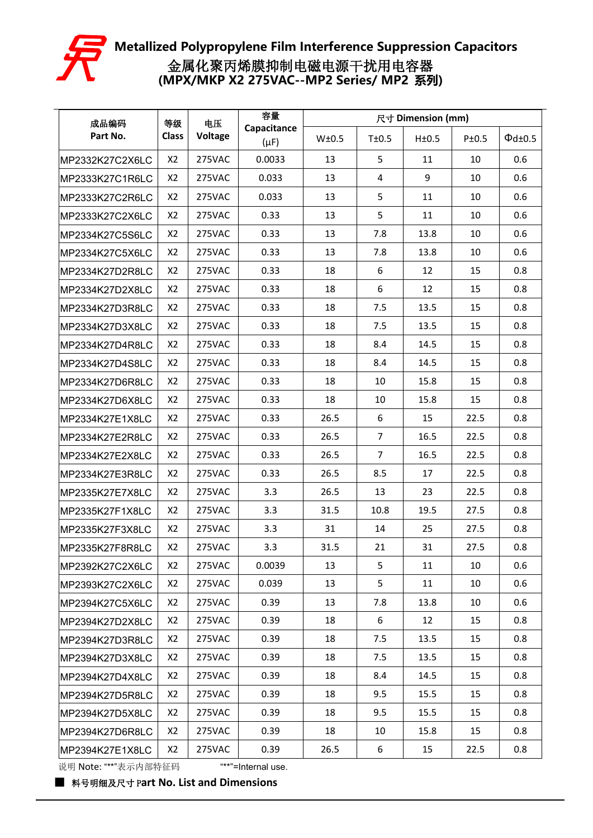

| 成品编码            | 等级             | 电压      | 容量                       |       |                | 尺寸 Dimension (mm) |       |                    |
|-----------------|----------------|---------|--------------------------|-------|----------------|-------------------|-------|--------------------|
| Part No.        | <b>Class</b>   | Voltage | Capacitance<br>$(\mu F)$ | W±0.5 | T±0.5          | H±0.5             | P±0.5 | $\Phi$ d $\pm$ 0.5 |
| MP2332K27C2X6LC | X <sub>2</sub> | 275VAC  | 0.0033                   | 13    | 5              | 11                | 10    | 0.6                |
| MP2333K27C1R6LC | X2             | 275VAC  | 0.033                    | 13    | $\overline{4}$ | 9                 | 10    | 0.6                |
| MP2333K27C2R6LC | X <sub>2</sub> | 275VAC  | 0.033                    | 13    | 5              | 11                | 10    | 0.6                |
| MP2333K27C2X6LC | X <sub>2</sub> | 275VAC  | 0.33                     | 13    | 5              | 11                | 10    | 0.6                |
| MP2334K27C5S6LC | X <sub>2</sub> | 275VAC  | 0.33                     | 13    | 7.8            | 13.8              | 10    | 0.6                |
| MP2334K27C5X6LC | X <sub>2</sub> | 275VAC  | 0.33                     | 13    | 7.8            | 13.8              | 10    | 0.6                |
| MP2334K27D2R8LC | X <sub>2</sub> | 275VAC  | 0.33                     | 18    | 6              | 12                | 15    | 0.8                |
| MP2334K27D2X8LC | X <sub>2</sub> | 275VAC  | 0.33                     | 18    | 6              | 12                | 15    | 0.8                |
| MP2334K27D3R8LC | X2             | 275VAC  | 0.33                     | 18    | 7.5            | 13.5              | 15    | 0.8                |
| MP2334K27D3X8LC | X <sub>2</sub> | 275VAC  | 0.33                     | 18    | 7.5            | 13.5              | 15    | 0.8                |
| MP2334K27D4R8LC | X <sub>2</sub> | 275VAC  | 0.33                     | 18    | 8.4            | 14.5              | 15    | 0.8                |
| MP2334K27D4S8LC | X <sub>2</sub> | 275VAC  | 0.33                     | 18    | 8.4            | 14.5              | 15    | 0.8                |
| MP2334K27D6R8LC | X <sub>2</sub> | 275VAC  | 0.33                     | 18    | 10             | 15.8              | 15    | 0.8                |
| MP2334K27D6X8LC | X <sub>2</sub> | 275VAC  | 0.33                     | 18    | 10             | 15.8              | 15    | 0.8                |
| MP2334K27E1X8LC | X2             | 275VAC  | 0.33                     | 26.5  | 6              | 15                | 22.5  | 0.8                |
| MP2334K27E2R8LC | X <sub>2</sub> | 275VAC  | 0.33                     | 26.5  | $\overline{7}$ | 16.5              | 22.5  | 0.8                |
| MP2334K27E2X8LC | X <sub>2</sub> | 275VAC  | 0.33                     | 26.5  | $\overline{7}$ | 16.5              | 22.5  | 0.8                |
| MP2334K27E3R8LC | X <sub>2</sub> | 275VAC  | 0.33                     | 26.5  | 8.5            | 17                | 22.5  | 0.8                |
| MP2335K27E7X8LC | X <sub>2</sub> | 275VAC  | 3.3                      | 26.5  | 13             | 23                | 22.5  | 0.8                |
| MP2335K27F1X8LC | X <sub>2</sub> | 275VAC  | 3.3                      | 31.5  | 10.8           | 19.5              | 27.5  | 0.8                |
| MP2335K27F3X8LC | X2             | 275VAC  | 3.3                      | 31    | 14             | 25                | 27.5  | 0.8                |
| MP2335K27F8R8LC | X <sub>2</sub> | 275VAC  | 3.3                      | 31.5  | 21             | 31                | 27.5  | 0.8                |
| MP2392K27C2X6LC | X2             | 275VAC  | 0.0039                   | 13    | 5              | 11                | 10    | 0.6                |
| MP2393K27C2X6LC | X <sub>2</sub> | 275VAC  | 0.039                    | 13    | 5              | 11                | 10    | 0.6                |
| MP2394K27C5X6LC | X2             | 275VAC  | 0.39                     | 13    | 7.8            | 13.8              | 10    | 0.6                |
| MP2394K27D2X8LC | X <sub>2</sub> | 275VAC  | 0.39                     | 18    | 6              | 12                | 15    | 0.8                |
| MP2394K27D3R8LC | X <sub>2</sub> | 275VAC  | 0.39                     | 18    | 7.5            | 13.5              | 15    | 0.8                |
| MP2394K27D3X8LC | X <sub>2</sub> | 275VAC  | 0.39                     | 18    | 7.5            | 13.5              | 15    | 0.8                |
| MP2394K27D4X8LC | X <sub>2</sub> | 275VAC  | 0.39                     | 18    | 8.4            | 14.5              | 15    | 0.8                |
| MP2394K27D5R8LC | X <sub>2</sub> | 275VAC  | 0.39                     | 18    | 9.5            | 15.5              | 15    | 0.8                |
| MP2394K27D5X8LC | X <sub>2</sub> | 275VAC  | 0.39                     | 18    | 9.5            | 15.5              | 15    | 0.8                |
| MP2394K27D6R8LC | X <sub>2</sub> | 275VAC  | 0.39                     | 18    | 10             | 15.8              | 15    | 0.8                |
| MP2394K27E1X8LC | X <sub>2</sub> | 275VAC  | 0.39                     | 26.5  | 6              | 15                | 22.5  | 0.8                |

说明 Note: "\*\*"表示内部特征码 "\*\*"=Internal use.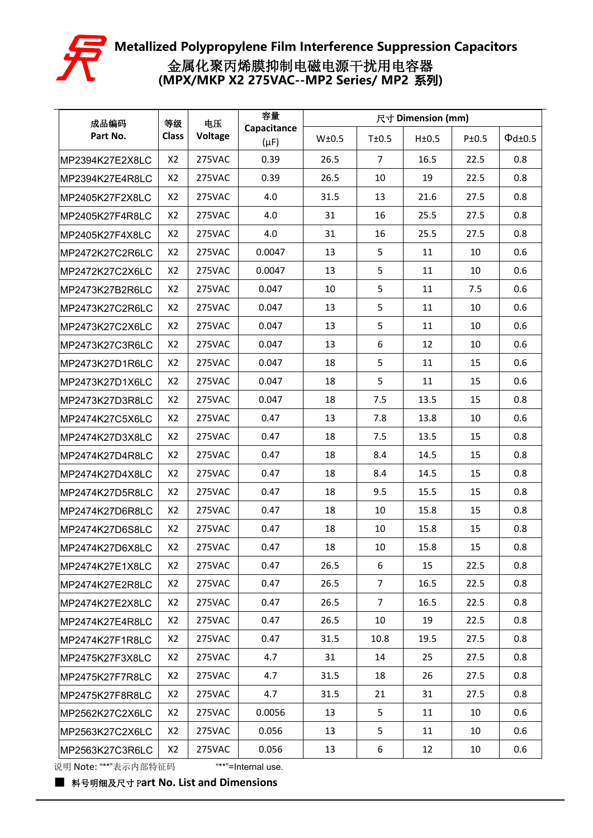

| 成品编码            | 等级             | 电压      | 容量                       |       | 尺寸 Dimension (mm) |       |       |                    |  |  |
|-----------------|----------------|---------|--------------------------|-------|-------------------|-------|-------|--------------------|--|--|
| Part No.        | <b>Class</b>   | Voltage | Capacitance<br>$(\mu F)$ | W±0.5 | T±0.5             | H±0.5 | P±0.5 | $\Phi$ d $\pm$ 0.5 |  |  |
| MP2394K27E2X8LC | X2             | 275VAC  | 0.39                     | 26.5  | $\overline{7}$    | 16.5  | 22.5  | 0.8                |  |  |
| MP2394K27E4R8LC | X2             | 275VAC  | 0.39                     | 26.5  | 10                | 19    | 22.5  | 0.8                |  |  |
| MP2405K27F2X8LC | X2             | 275VAC  | 4.0                      | 31.5  | 13                | 21.6  | 27.5  | 0.8                |  |  |
| MP2405K27F4R8LC | X2             | 275VAC  | 4.0                      | 31    | 16                | 25.5  | 27.5  | 0.8                |  |  |
| MP2405K27F4X8LC | X2             | 275VAC  | 4.0                      | 31    | 16                | 25.5  | 27.5  | 0.8                |  |  |
| MP2472K27C2R6LC | X2             | 275VAC  | 0.0047                   | 13    | 5                 | 11    | 10    | 0.6                |  |  |
| MP2472K27C2X6LC | X2             | 275VAC  | 0.0047                   | 13    | 5                 | 11    | 10    | 0.6                |  |  |
| MP2473K27B2R6LC | X2             | 275VAC  | 0.047                    | 10    | 5                 | 11    | 7.5   | 0.6                |  |  |
| MP2473K27C2R6LC | X2             | 275VAC  | 0.047                    | 13    | 5                 | 11    | 10    | 0.6                |  |  |
| MP2473K27C2X6LC | X2             | 275VAC  | 0.047                    | 13    | 5                 | 11    | 10    | 0.6                |  |  |
| MP2473K27C3R6LC | X2             | 275VAC  | 0.047                    | 13    | 6                 | 12    | 10    | 0.6                |  |  |
| MP2473K27D1R6LC | X2             | 275VAC  | 0.047                    | 18    | 5                 | 11    | 15    | 0.6                |  |  |
| MP2473K27D1X6LC | X2             | 275VAC  | 0.047                    | 18    | 5                 | 11    | 15    | 0.6                |  |  |
| MP2473K27D3R8LC | X2             | 275VAC  | 0.047                    | 18    | 7.5               | 13.5  | 15    | 0.8                |  |  |
| MP2474K27C5X6LC | X <sub>2</sub> | 275VAC  | 0.47                     | 13    | 7.8               | 13.8  | 10    | 0.6                |  |  |
| MP2474K27D3X8LC | X2             | 275VAC  | 0.47                     | 18    | 7.5               | 13.5  | 15    | 0.8                |  |  |
| MP2474K27D4R8LC | X2             | 275VAC  | 0.47                     | 18    | 8.4               | 14.5  | 15    | 0.8                |  |  |
| MP2474K27D4X8LC | X2             | 275VAC  | 0.47                     | 18    | 8.4               | 14.5  | 15    | 0.8                |  |  |
| MP2474K27D5R8LC | X2             | 275VAC  | 0.47                     | 18    | 9.5               | 15.5  | 15    | 0.8                |  |  |
| MP2474K27D6R8LC | X2             | 275VAC  | 0.47                     | 18    | 10                | 15.8  | 15    | 0.8                |  |  |
| MP2474K27D6S8LC | X2             | 275VAC  | 0.47                     | 18    | 10                | 15.8  | 15    | 0.8                |  |  |
| MP2474K27D6X8LC | X2             | 275VAC  | 0.47                     | 18    | 10                | 15.8  | 15    | 0.8                |  |  |
| MP2474K27E1X8LC | X <sub>2</sub> | 275VAC  | 0.47                     | 26.5  | 6                 | 15    | 22.5  | 0.8                |  |  |
| MP2474K27E2R8LC | X2             | 275VAC  | 0.47                     | 26.5  | $\overline{7}$    | 16.5  | 22.5  | 0.8                |  |  |
| MP2474K27E2X8LC | X2             | 275VAC  | 0.47                     | 26.5  | $\overline{7}$    | 16.5  | 22.5  | 0.8                |  |  |
| MP2474K27E4R8LC | X2             | 275VAC  | 0.47                     | 26.5  | 10                | 19    | 22.5  | 0.8                |  |  |
| MP2474K27F1R8LC | X2             | 275VAC  | 0.47                     | 31.5  | 10.8              | 19.5  | 27.5  | 0.8                |  |  |
| MP2475K27F3X8LC | X <sub>2</sub> | 275VAC  | 4.7                      | 31    | 14                | 25    | 27.5  | 0.8                |  |  |
| MP2475K27F7R8LC | X <sub>2</sub> | 275VAC  | 4.7                      | 31.5  | 18                | 26    | 27.5  | 0.8                |  |  |
| MP2475K27F8R8LC | X2             | 275VAC  | 4.7                      | 31.5  | 21                | 31    | 27.5  | 0.8                |  |  |
| MP2562K27C2X6LC | X2             | 275VAC  | 0.0056                   | 13    | 5                 | 11    | 10    | 0.6                |  |  |
| MP2563K27C2X6LC | X2             | 275VAC  | 0.056                    | 13    | 5                 | 11    | 10    | 0.6                |  |  |
| MP2563K27C3R6LC | X <sub>2</sub> | 275VAC  | 0.056                    | 13    | 6                 | 12    | 10    | 0.6                |  |  |

说明 Note: "\*\*"表示内部特征码 "\*\*"=Internal use.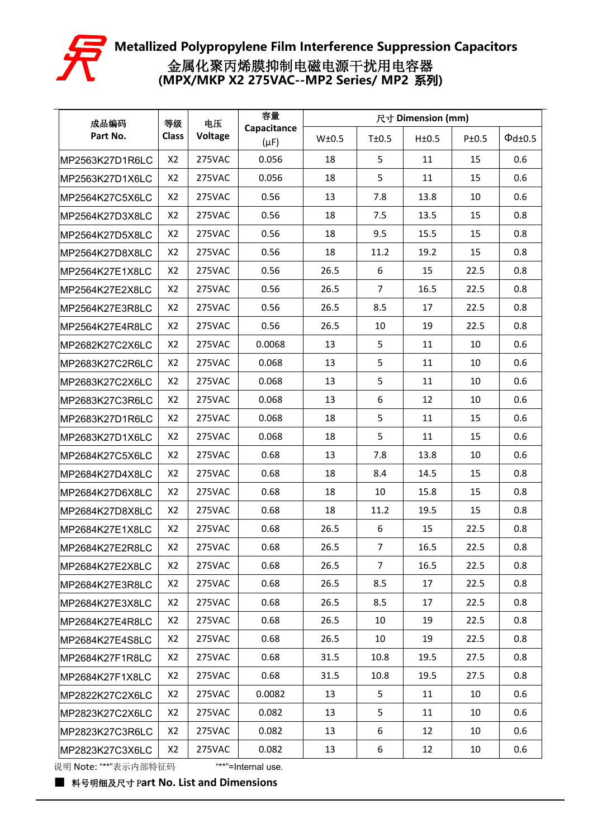

| 成品编码            | 等级             | 电压      | 容量                       |       |                | 尺寸 Dimension (mm) |       |                    |
|-----------------|----------------|---------|--------------------------|-------|----------------|-------------------|-------|--------------------|
| Part No.        | <b>Class</b>   | Voltage | Capacitance<br>$(\mu F)$ | W±0.5 | T±0.5          | H±0.5             | P±0.5 | $\Phi$ d $\pm$ 0.5 |
| MP2563K27D1R6LC | X2             | 275VAC  | 0.056                    | 18    | 5              | 11                | 15    | 0.6                |
| MP2563K27D1X6LC | X2             | 275VAC  | 0.056                    | 18    | 5              | 11                | 15    | 0.6                |
| MP2564K27C5X6LC | X2             | 275VAC  | 0.56                     | 13    | 7.8            | 13.8              | 10    | 0.6                |
| MP2564K27D3X8LC | X2             | 275VAC  | 0.56                     | 18    | 7.5            | 13.5              | 15    | 0.8                |
| MP2564K27D5X8LC | X2             | 275VAC  | 0.56                     | 18    | 9.5            | 15.5              | 15    | 0.8                |
| MP2564K27D8X8LC | X2             | 275VAC  | 0.56                     | 18    | 11.2           | 19.2              | 15    | 0.8                |
| MP2564K27E1X8LC | X2             | 275VAC  | 0.56                     | 26.5  | 6              | 15                | 22.5  | 0.8                |
| MP2564K27E2X8LC | X2             | 275VAC  | 0.56                     | 26.5  | $\overline{7}$ | 16.5              | 22.5  | 0.8                |
| MP2564K27E3R8LC | X2             | 275VAC  | 0.56                     | 26.5  | 8.5            | 17                | 22.5  | 0.8                |
| MP2564K27E4R8LC | X2             | 275VAC  | 0.56                     | 26.5  | 10             | 19                | 22.5  | 0.8                |
| MP2682K27C2X6LC | X2             | 275VAC  | 0.0068                   | 13    | 5              | 11                | 10    | 0.6                |
| MP2683K27C2R6LC | X2             | 275VAC  | 0.068                    | 13    | 5              | 11                | 10    | 0.6                |
| MP2683K27C2X6LC | X2             | 275VAC  | 0.068                    | 13    | 5              | 11                | 10    | 0.6                |
| MP2683K27C3R6LC | X2             | 275VAC  | 0.068                    | 13    | 6              | 12                | 10    | 0.6                |
| MP2683K27D1R6LC | X2             | 275VAC  | 0.068                    | 18    | 5              | 11                | 15    | 0.6                |
| MP2683K27D1X6LC | X2             | 275VAC  | 0.068                    | 18    | 5              | 11                | 15    | 0.6                |
| MP2684K27C5X6LC | X <sub>2</sub> | 275VAC  | 0.68                     | 13    | 7.8            | 13.8              | 10    | 0.6                |
| MP2684K27D4X8LC | X2             | 275VAC  | 0.68                     | 18    | 8.4            | 14.5              | 15    | 0.8                |
| MP2684K27D6X8LC | X2             | 275VAC  | 0.68                     | 18    | 10             | 15.8              | 15    | 0.8                |
| MP2684K27D8X8LC | X2             | 275VAC  | 0.68                     | 18    | 11.2           | 19.5              | 15    | 0.8                |
| MP2684K27E1X8LC | X2             | 275VAC  | 0.68                     | 26.5  | 6              | 15                | 22.5  | 0.8                |
| MP2684K27E2R8LC | X2             | 275VAC  | 0.68                     | 26.5  | $\overline{7}$ | 16.5              | 22.5  | 0.8                |
| MP2684K27E2X8LC | X2             | 275VAC  | 0.68                     | 26.5  | $\overline{7}$ | 16.5              | 22.5  | 0.8                |
| MP2684K27E3R8LC | X2             | 275VAC  | 0.68                     | 26.5  | 8.5            | 17                | 22.5  | 0.8                |
| MP2684K27E3X8LC | X2             | 275VAC  | 0.68                     | 26.5  | 8.5            | 17                | 22.5  | 0.8                |
| MP2684K27E4R8LC | X2             | 275VAC  | 0.68                     | 26.5  | 10             | 19                | 22.5  | 0.8                |
| MP2684K27E4S8LC | X2             | 275VAC  | 0.68                     | 26.5  | 10             | 19                | 22.5  | 0.8                |
| MP2684K27F1R8LC | X2             | 275VAC  | 0.68                     | 31.5  | 10.8           | 19.5              | 27.5  | 0.8                |
| MP2684K27F1X8LC | X2             | 275VAC  | 0.68                     | 31.5  | 10.8           | 19.5              | 27.5  | 0.8                |
| MP2822K27C2X6LC | X <sub>2</sub> | 275VAC  | 0.0082                   | 13    | 5              | 11                | 10    | 0.6                |
| MP2823K27C2X6LC | X2             | 275VAC  | 0.082                    | 13    | 5              | 11                | 10    | 0.6                |
| MP2823K27C3R6LC | X2             | 275VAC  | 0.082                    | 13    | 6              | 12                | 10    | 0.6                |
| MP2823K27C3X6LC | X <sub>2</sub> | 275VAC  | 0.082                    | 13    | 6              | 12                | 10    | 0.6                |

说明 Note: "\*\*"表示内部特征码 "\*\*"=Internal use.